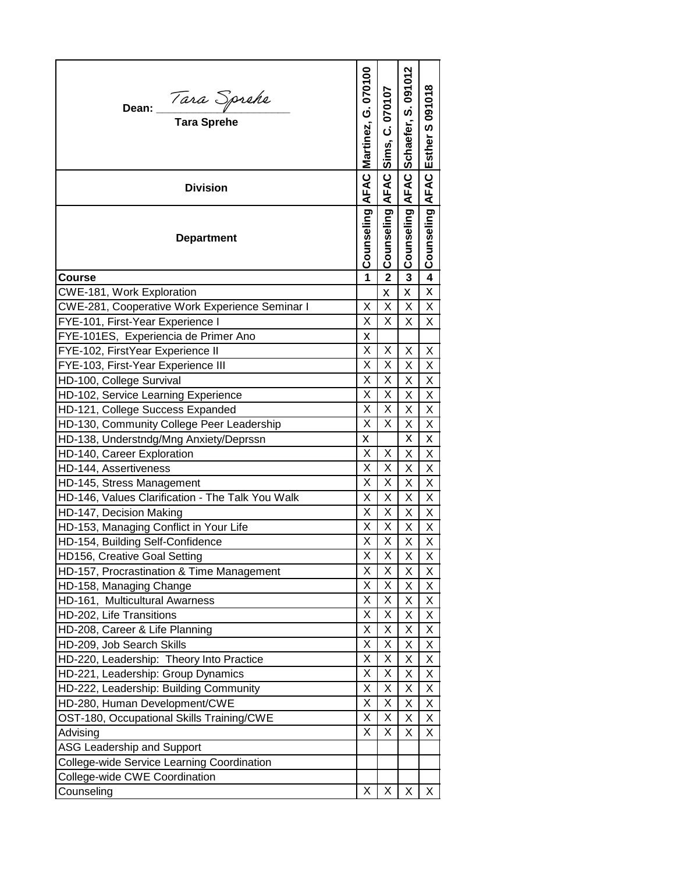| Dean: <i>Tara Sprehe</i><br>Tara Sprehe<br><b>Division</b><br><b>Department</b> | AFAC Martinez, G. 070100<br>Counseling | Sims, C. 070107<br><b>AFAC</b><br>Counseling | Schaefer, S. 091012<br>AFAC<br>Counseling | Counseling AFAC Esther S 091018 |
|---------------------------------------------------------------------------------|----------------------------------------|----------------------------------------------|-------------------------------------------|---------------------------------|
|                                                                                 |                                        |                                              |                                           |                                 |
| Course                                                                          | 1                                      | $\overline{\mathbf{2}}$                      | 3                                         | 4                               |
|                                                                                 |                                        |                                              |                                           | X                               |
| CWE-181, Work Exploration                                                       | X                                      | X<br>X                                       | X<br>X                                    |                                 |
| CWE-281, Cooperative Work Experience Seminar I                                  | Χ                                      | X                                            | Χ                                         | Χ                               |
| FYE-101, First-Year Experience I                                                |                                        |                                              |                                           | X                               |
| FYE-101ES, Experiencia de Primer Ano                                            | X<br>X                                 | Χ                                            |                                           |                                 |
| FYE-102, FirstYear Experience II                                                | X                                      | X                                            | Χ                                         | Χ<br>X                          |
| FYE-103, First-Year Experience III                                              | X                                      | X                                            | X                                         |                                 |
| HD-100, College Survival                                                        |                                        |                                              | X                                         | X                               |
| HD-102, Service Learning Experience                                             | X                                      | Χ                                            | Χ                                         | X                               |
| HD-121, College Success Expanded                                                | Χ                                      | Χ                                            | Χ                                         | X                               |
| HD-130, Community College Peer Leadership                                       | X                                      | X                                            | X                                         | X                               |
| HD-138, Understndg/Mng Anxiety/Deprssn                                          | Χ                                      |                                              | X                                         | X                               |
| HD-140, Career Exploration                                                      | X                                      | X                                            | X                                         | Χ                               |
| HD-144, Assertiveness                                                           | X                                      | X                                            | X                                         | Χ                               |
| HD-145, Stress Management                                                       | Χ                                      | Χ                                            | Χ                                         | Χ                               |
| HD-146, Values Clarification - The Talk You Walk                                | Χ                                      | X                                            | X                                         | X                               |
| HD-147, Decision Making                                                         | X                                      | X                                            | Χ                                         | Χ                               |
| HD-153, Managing Conflict in Your Life                                          | Χ                                      | X                                            | Χ                                         | X                               |
| HD-154, Building Self-Confidence                                                | X                                      | Χ                                            | Χ                                         | Χ                               |
| HD156, Creative Goal Setting                                                    | Χ                                      | X                                            | X.                                        | X                               |
| HD-157, Procrastination & Time Management                                       | X                                      | X                                            | X                                         | Χ                               |
| HD-158, Managing Change                                                         | Χ                                      | X                                            | Χ                                         | Χ                               |
| HD-161, Multicultural Awarness                                                  | Χ                                      | Χ                                            | X                                         | X                               |
| HD-202, Life Transitions                                                        | Χ                                      | Χ                                            | Χ                                         | X                               |
| HD-208, Career & Life Planning                                                  | Χ                                      | Χ                                            | Χ                                         | Χ                               |
| HD-209, Job Search Skills                                                       | Χ                                      | Χ                                            | Χ                                         | Χ                               |
| HD-220, Leadership: Theory Into Practice                                        | Χ                                      | Χ                                            | Χ                                         | X                               |
| HD-221, Leadership: Group Dynamics                                              | Χ                                      | Χ                                            | Χ                                         | Χ                               |
| HD-222, Leadership: Building Community                                          | Χ                                      | Χ                                            | Χ                                         | X                               |
| HD-280, Human Development/CWE                                                   | X                                      | X                                            | X                                         | X                               |
| OST-180, Occupational Skills Training/CWE                                       | Χ                                      | Χ                                            | Χ                                         | Χ                               |
| Advising                                                                        | Χ                                      | Χ                                            | X                                         | Χ                               |
| <b>ASG Leadership and Support</b>                                               |                                        |                                              |                                           |                                 |
| College-wide Service Learning Coordination                                      |                                        |                                              |                                           |                                 |
| College-wide CWE Coordination                                                   |                                        |                                              |                                           |                                 |
| Counseling                                                                      | Χ                                      | X                                            | Χ                                         | X.                              |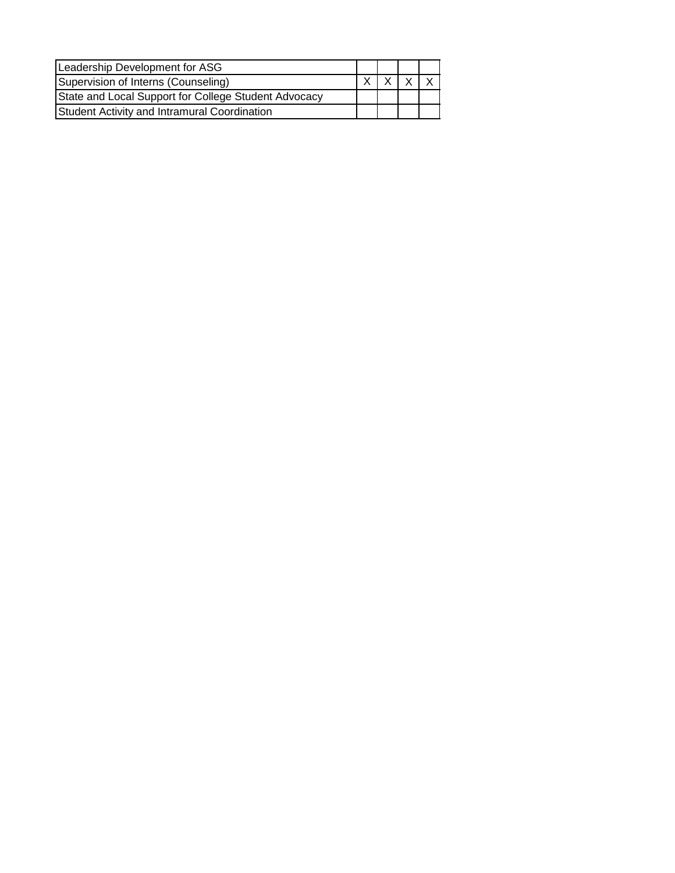| Leadership Development for ASG                       |  |  |
|------------------------------------------------------|--|--|
| Supervision of Interns (Counseling)                  |  |  |
| State and Local Support for College Student Advocacy |  |  |
| Student Activity and Intramural Coordination         |  |  |